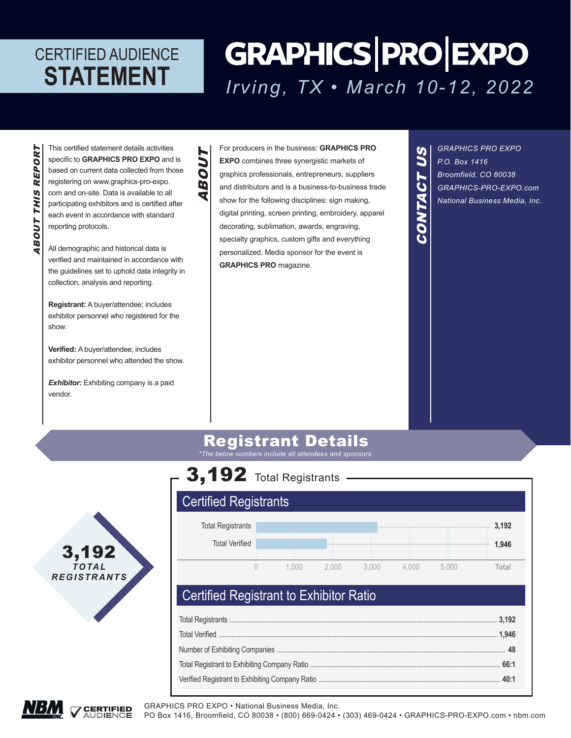# **GRAPHICS PRO EXPO** *Irving, TX • March 10-12, 2022*

BOUT THIS REPORT ABOUT THIS REPORT This certified statement details activities specific to **GRAPHICS PRO EXPO** and is based on current data collected from those registering on www.graphics-pro-expo. com and on-site. Data is available to all participating exhibitors and is certified after each event in accordance with standard reporting protocols.

ABOUT

Ď

TNO

All demographic and historical data is verified and maintained in accordance with the guidelines set to uphold data integrity in collection, analysis and reporting.

**Registrant:** A buyer/attendee; includes exhibitor personnel who registered for the show.

**Verified:** A buyer/attendee; includes exhibitor personnel who attended the show.

**Exhibitor:** Exhibiting company is a paid vendor.

For producers in the business: **GRAPHICS PRO EXPO** combines three synergistic markets of graphics professionals, entrepreneurs, suppliers and distributors and is a business-to-business trade show for the following disciplines: sign making, digital printing, screen printing, embroidery, apparel decorating, sublimation, awards, engraving, specialty graphics, custom gifts and everything personalized. Media sponsor for the event is **GRAPHICS PRO** magazine.

*GRAPHICS PRO EXPO P.O. Box 1416 Broomfield, CO 80038 GRAPHICS-PRO-EXPO.com National Business Media, Inc.*

CONTACT US

CONTACT

US

### Registrant Details

*\*The below numbers include all attendees and sponsors.*



## 3,192 Total Registrants

## Certified Registrants



### Certified Registrant to Exhibitor Ratio

GRAPHICS PRO EXPO • National Business Media, Inc.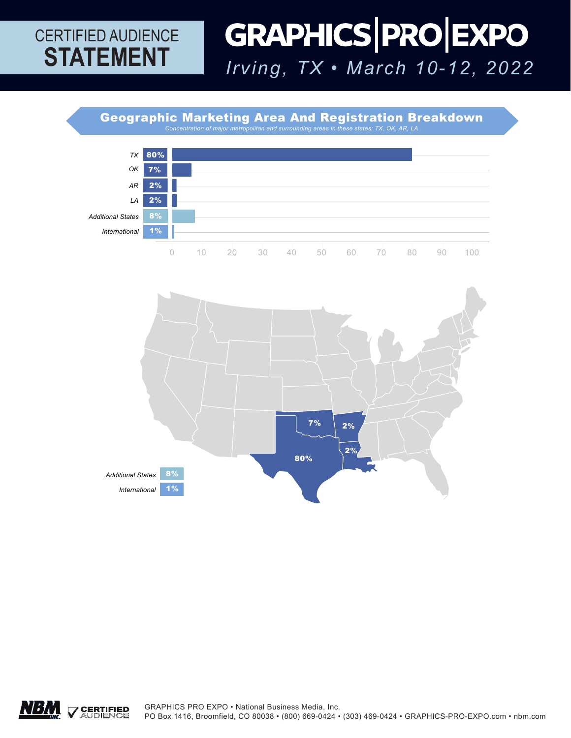### GRAPHICS PRO EXPO CERTIFIED AUDIENCE **STATEMENT** *Irving, TX • March 10-12, 2022*

Geographic Marketing Area And Registration Breakdown



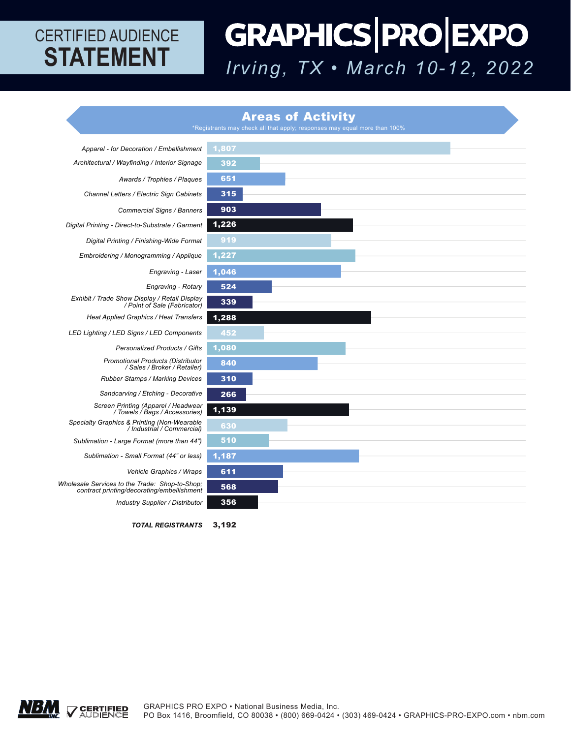# GRAPHICS PRO EXPO *Irving, TX • March 10-12, 2022*

#### Areas of Activity

\*Registrants may check all that apply; responses may equal more than 100%



*TOTAL REGISTRANTS* 3,192

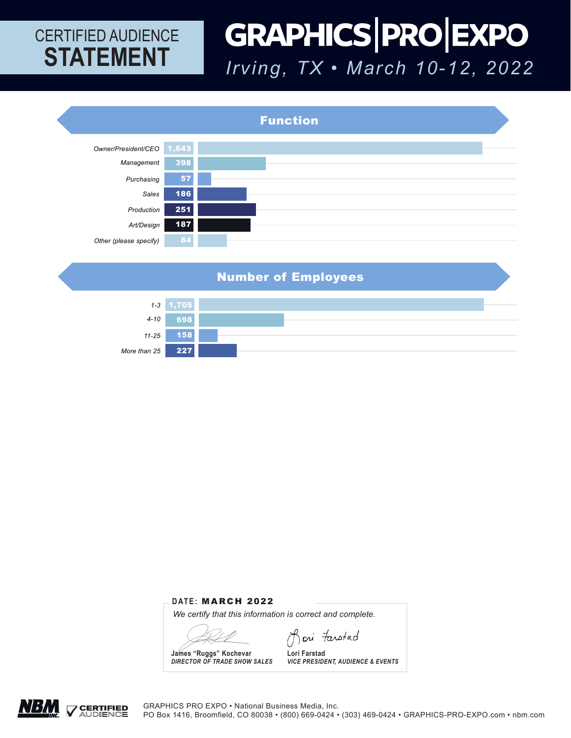### GRAPHICS PRO EXPO CERTIFIED AUDIENCE **STATEMENT** *Irving, TX • March 10-12, 2022*



Number of Employees



#### **DATE:** MARCH 2022

*We certify that this information is correct and complete.* 

Jori Farstad

**James "Ruggs" Kochevar** *DIRECTOR OF TRADE SHOW SALES*

**Lori Farstad** *VICE PRESIDENT, AUDIENCE & EVENTS*

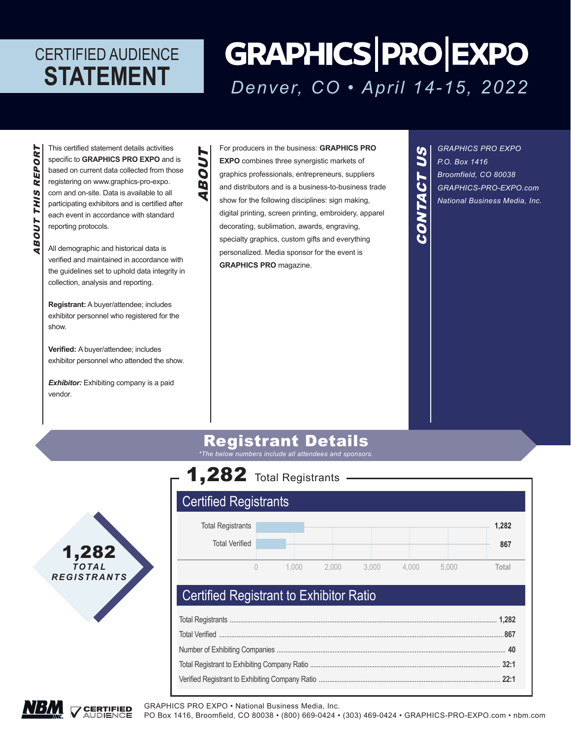# **GRAPHICS PRO EXPO** *Denver, CO • April 14-15, 2022*

BOUT THIS REPORT ABOUT THIS REPORT This certified statement details activities specific to **GRAPHICS PRO EXPO** and is based on current data collected from those registering on www.graphics-pro-expo. com and on-site. Data is available to all participating exhibitors and is certified after each event in accordance with standard reporting protocols.

ABOUT

BOUT

All demographic and historical data is verified and maintained in accordance with the guidelines set to uphold data integrity in collection, analysis and reporting.

**Registrant:** A buyer/attendee; includes exhibitor personnel who registered for the show.

**Verified:** A buyer/attendee; includes exhibitor personnel who attended the show.

**Exhibitor:** Exhibiting company is a paid vendor.

For producers in the business: **GRAPHICS PRO EXPO** combines three synergistic markets of graphics professionals, entrepreneurs, suppliers and distributors and is a business-to-business trade show for the following disciplines: sign making, digital printing, screen printing, embroidery, apparel decorating, sublimation, awards, engraving, specialty graphics, custom gifts and everything personalized. Media sponsor for the event is **GRAPHICS PRO** magazine.

*GRAPHICS PRO EXPO P.O. Box 1416 Broomfield, CO 80038 GRAPHICS-PRO-EXPO.com National Business Media, Inc.*

 **867**

CONTACT US

CONTACT

US

### Registrant Details

*\*The below numbers include all attendees and sponsors.*



### 1,282 Total Registrants Certified Registrants Total Registrants Total Verified 0 1,000 2,000 3,000 4,000 5,000 **Total 1,282**

### Certified Registrant to Exhibitor Ratio

GRAPHICS PRO EXPO • National Business Media, Inc.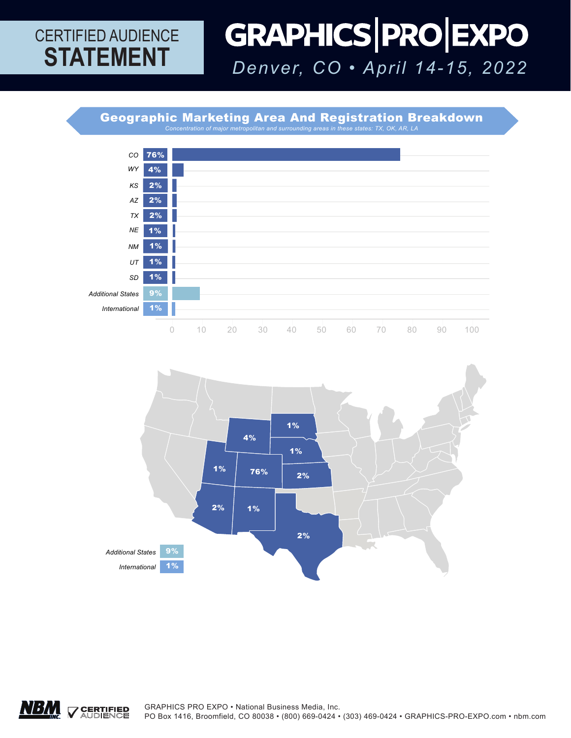### GRAPHICS PRO EXPO CERTIFIED AUDIENCE **STATEMENT** *Denver, CO • April 14-15, 2022*

Geographic Marketing Area And Registration Breakdown *Concentration of major metropolitan and surrounding areas in these states: TX, OK, AR, LA*





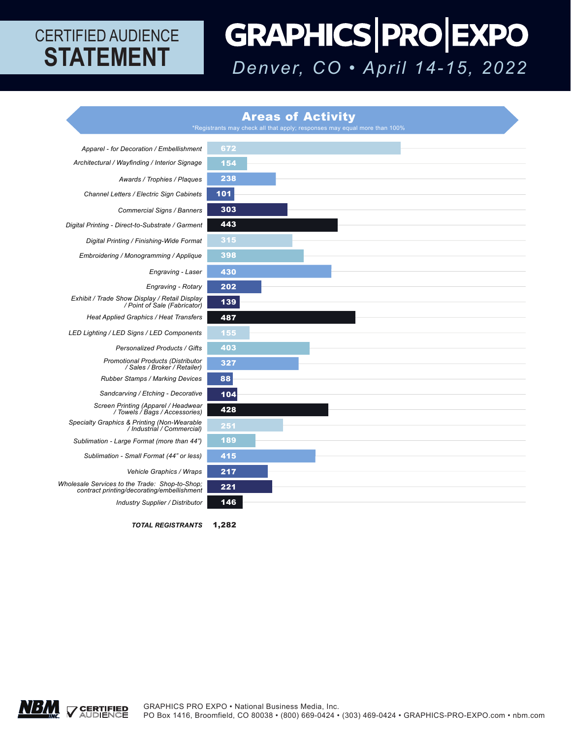# GRAPHICS PRO EXPO *Denver, CO • April 14-15, 2022*

#### Areas of Activity



*TOTAL REGISTRANTS* 1,282

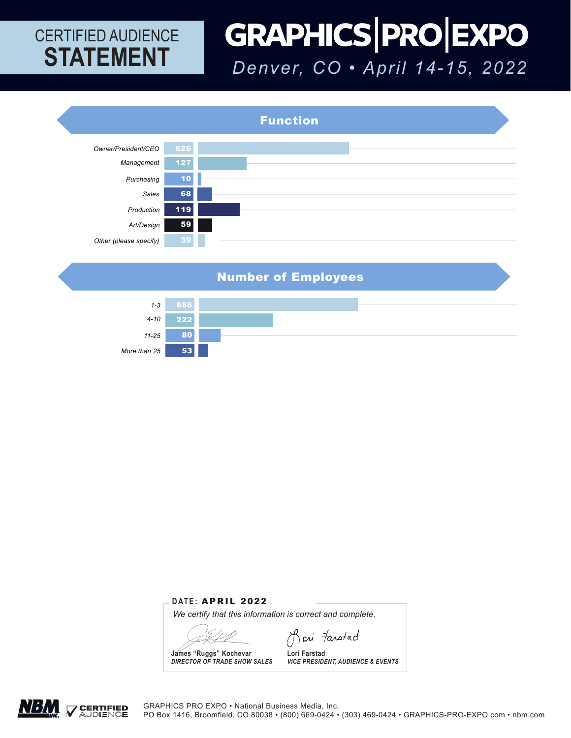### GRAPHICS PRO EXPO CERTIFIED AUDIENCE **STATEMENT** *Denver, CO • April 14-15, 2022*



Number of Employees



#### **DATE:** APRIL 2022

*We certify that this information is correct and complete.* 

Jori Farstad

**James "Ruggs" Kochevar** *DIRECTOR OF TRADE SHOW SALES*

**Lori Farstad** *VICE PRESIDENT, AUDIENCE & EVENTS*

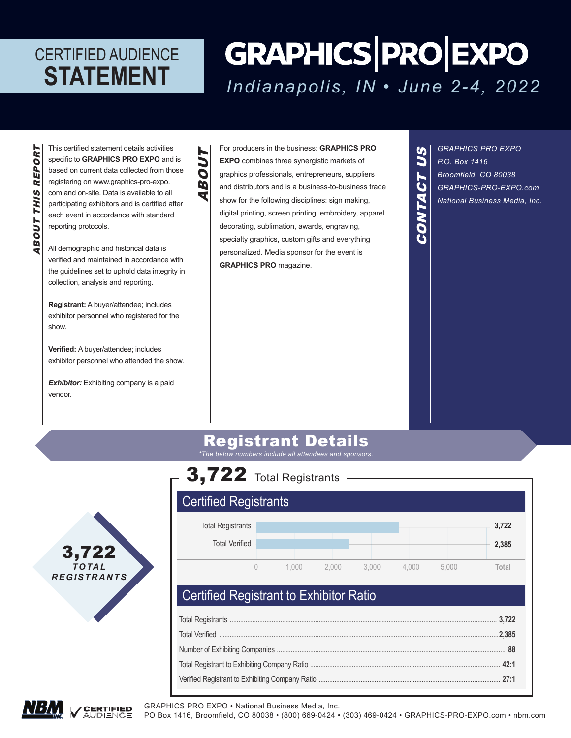# **GRAPHICS PRO EXPO** *Indianapolis, IN • June 2-4, 2022*

BOUT THIS REPORT ABOUT THIS REPORT This certified statement details activities specific to **GRAPHICS PRO EXPO** and is based on current data collected from those registering on www.graphics-pro-expo. com and on-site. Data is available to all participating exhibitors and is certified after each event in accordance with standard reporting protocols.

ABOUT

BOUT

All demographic and historical data is verified and maintained in accordance with the guidelines set to uphold data integrity in collection, analysis and reporting.

**Registrant:** A buyer/attendee; includes exhibitor personnel who registered for the show.

**Verified:** A buyer/attendee; includes exhibitor personnel who attended the show.

**Exhibitor:** Exhibiting company is a paid vendor.

For producers in the business: **GRAPHICS PRO EXPO** combines three synergistic markets of graphics professionals, entrepreneurs, suppliers and distributors and is a business-to-business trade show for the following disciplines: sign making, digital printing, screen printing, embroidery, apparel decorating, sublimation, awards, engraving, specialty graphics, custom gifts and everything personalized. Media sponsor for the event is **GRAPHICS PRO** magazine.

*GRAPHICS PRO EXPO P.O. Box 1416 Broomfield, CO 80038 GRAPHICS-PRO-EXPO.com National Business Media, Inc.*

CONTACT US

CONTACT

US

### Registrant Details

*\*The below numbers include all attendees and sponsors.*





### Certified Registrant to Exhibitor Ratio

GRAPHICS PRO EXPO • National Business Media, Inc.

PO Box 1416, Broomfield, CO 80038 • (800) 669-0424 • (303) 469-0424 • GRAPHICS-PRO-EXPO.com • nbm.com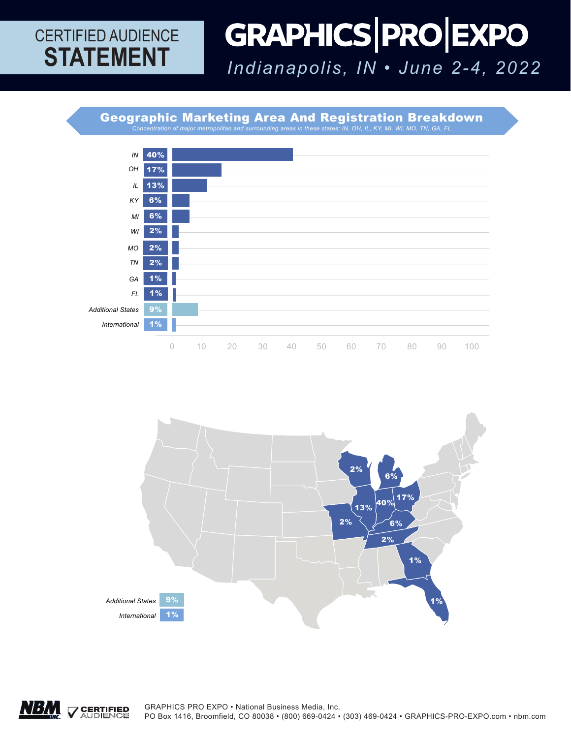### GRAPHICS PRO EXPO CERTIFIED AUDIENCE **STATEMENT** *Indianapolis, IN • June 2-4, 2022*

Geographic Marketing Area And Registration Breakdown *Concentration of major metropolitan and surrounding areas in these states: IN, OH, IL, KY, MI, WI, MO, TN, GA, FL* 





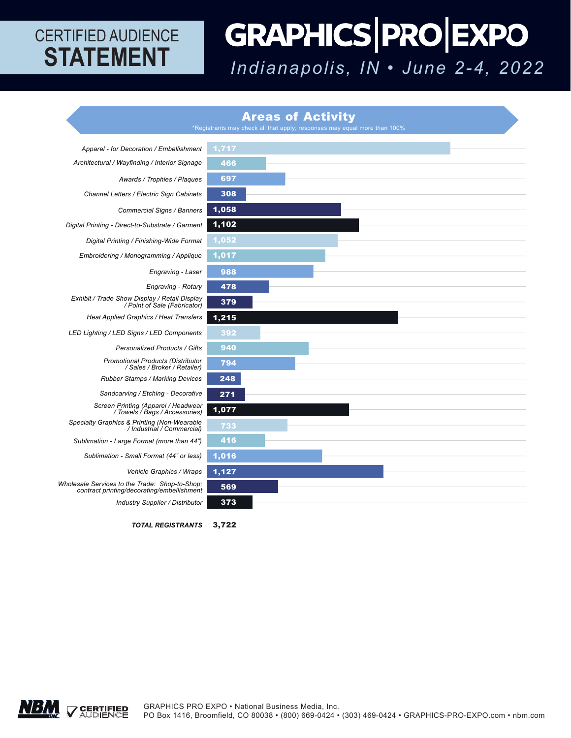# GRAPHICS PRO EXPO *Indianapolis, IN • June 2-4, 2022*

#### Areas of Activity

 $^*$ Registrants may check all that apply; responses may equal more than 100%  $^*$ 



*TOTAL REGISTRANTS* 3,722